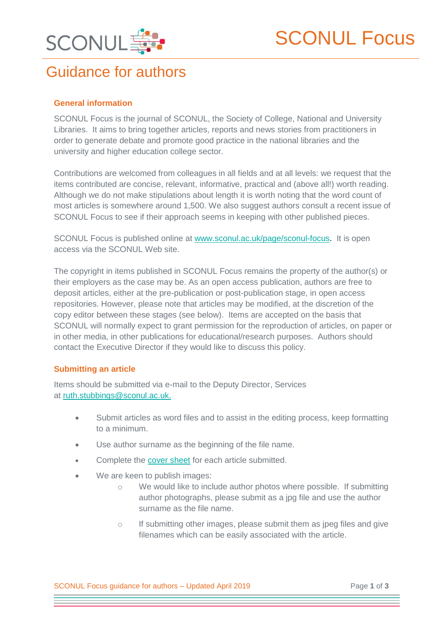

# Guidance for authors

## **General information**

SCONUL Focus is the journal of SCONUL, the Society of College, National and University Libraries. It aims to bring together articles, reports and news stories from practitioners in order to generate debate and promote good practice in the national libraries and the university and higher education college sector.

Contributions are welcomed from colleagues in all fields and at all levels: we request that the items contributed are concise, relevant, informative, practical and (above all!) worth reading. Although we do not make stipulations about length it is worth noting that the word count of most articles is somewhere around 1,500. We also suggest authors consult a recent issue of SCONUL Focus to see if their approach seems in keeping with other published pieces.

SCONUL Focus is published online at [www.sconul.ac.uk/page/sconul-focus.](file://///sconulserver/public/New%20structure/Services/Focus/www.sconul.ac.uk/page/sconul-focus) It is open access via the SCONUL Web site.

The copyright in items published in SCONUL Focus remains the property of the author(s) or their employers as the case may be. As an open access publication, authors are free to deposit articles, either at the pre-publication or post-publication stage, in open access repositories. However, please note that articles may be modified, at the discretion of the copy editor between these stages (see below). Items are accepted on the basis that SCONUL will normally expect to grant permission for the reproduction of articles, on paper or in other media, in other publications for educational/research purposes. Authors should contact the Executive Director if they would like to discuss this policy.

### **Submitting an article**

Items should be submitted via e-mail to the Deputy Director, Services at [ruth.stubbings@sconul.ac.uk.](mailto:ruth.stubbings@sconul.ac.uk)

- Submit articles as word files and to assist in the editing process, keep formatting to a minimum.
- Use author surname as the beginning of the file name.
- Complete the [cover sheet](https://www.sconul.ac.uk/sites/default/files/SCONUL_Focus_Cover_sheet_Mar2018.docx) for each article submitted.
- We are keen to publish images:
	- We would like to include author photos where possible. If submitting author photographs, please submit as a jpg file and use the author surname as the file name.
	- o If submitting other images, please submit them as jpeg files and give filenames which can be easily associated with the article.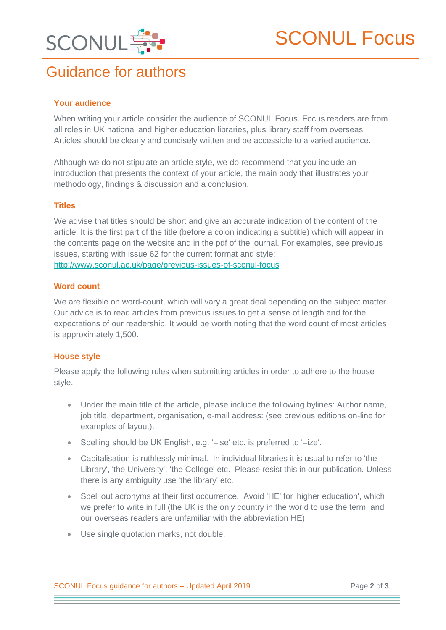

# Guidance for authors

## **Your audience**

When writing your article consider the audience of SCONUL Focus. Focus readers are from all roles in UK national and higher education libraries, plus library staff from overseas. Articles should be clearly and concisely written and be accessible to a varied audience.

Although we do not stipulate an article style, we do recommend that you include an introduction that presents the context of your article, the main body that illustrates your methodology, findings & discussion and a conclusion.

## **Titles**

We advise that titles should be short and give an accurate indication of the content of the article. It is the first part of the title (before a colon indicating a subtitle) which will appear in the contents page on the website and in the pdf of the journal. For examples, see previous issues, starting with issue 62 for the current format and style: <http://www.sconul.ac.uk/page/previous-issues-of-sconul-focus>

## **Word count**

We are flexible on word-count, which will vary a great deal depending on the subject matter. Our advice is to read articles from previous issues to get a sense of length and for the expectations of our readership. It would be worth noting that the word count of most articles is approximately 1,500.

## **House style**

Please apply the following rules when submitting articles in order to adhere to the house style.

- Under the main title of the article, please include the following bylines: Author name, job title, department, organisation, e-mail address: (see previous editions on-line for examples of layout).
- Spelling should be UK English, e.g. '–ise' etc. is preferred to '–ize'.
- Capitalisation is ruthlessly minimal. In individual libraries it is usual to refer to 'the Library', 'the University', 'the College' etc. Please resist this in our publication. Unless there is any ambiguity use 'the library' etc.
- Spell out acronyms at their first occurrence. Avoid 'HE' for 'higher education', which we prefer to write in full (the UK is the only country in the world to use the term, and our overseas readers are unfamiliar with the abbreviation HE).
- Use single quotation marks, not double.